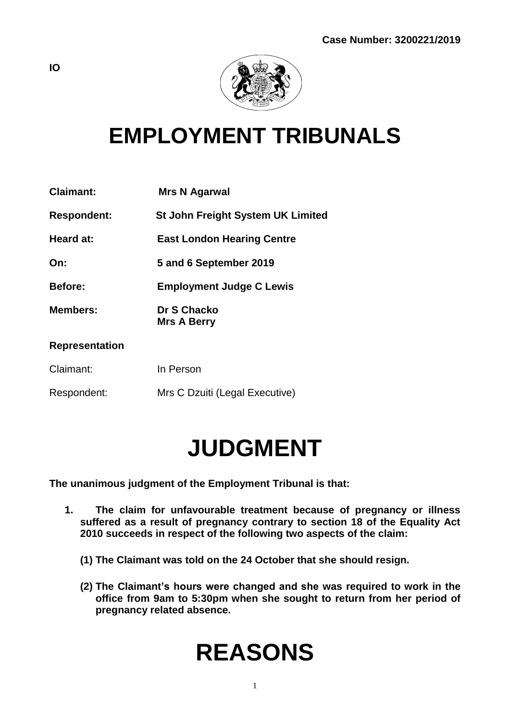

## **EMPLOYMENT TRIBUNALS**

| <b>Claimant:</b>      | <b>Mrs N Agarwal</b>                     |
|-----------------------|------------------------------------------|
| <b>Respondent:</b>    | <b>St John Freight System UK Limited</b> |
| Heard at:             | <b>East London Hearing Centre</b>        |
| On:                   | 5 and 6 September 2019                   |
| <b>Before:</b>        | <b>Employment Judge C Lewis</b>          |
| <b>Members:</b>       | Dr S Chacko<br><b>Mrs A Berry</b>        |
| <b>Representation</b> |                                          |
| Claimant:             | In Person                                |
| Respondent:           | Mrs C Dzuiti (Legal Executive)           |

## **JUDGMENT**

**The unanimous judgment of the Employment Tribunal is that:**

- **1. The claim for unfavourable treatment because of pregnancy or illness suffered as a result of pregnancy contrary to section 18 of the Equality Act 2010 succeeds in respect of the following two aspects of the claim:**
	- **(1) The Claimant was told on the 24 October that she should resign.**
	- **(2) The Claimant's hours were changed and she was required to work in the office from 9am to 5:30pm when she sought to return from her period of pregnancy related absence.**

# **REASONS**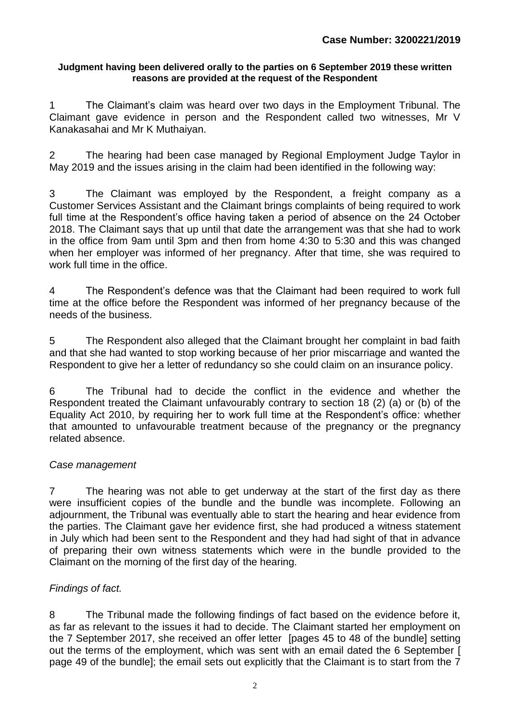#### **Judgment having been delivered orally to the parties on 6 September 2019 these written reasons are provided at the request of the Respondent**

1 The Claimant's claim was heard over two days in the Employment Tribunal. The Claimant gave evidence in person and the Respondent called two witnesses, Mr V Kanakasahai and Mr K Muthaiyan.

2 The hearing had been case managed by Regional Employment Judge Taylor in May 2019 and the issues arising in the claim had been identified in the following way:

3 The Claimant was employed by the Respondent, a freight company as a Customer Services Assistant and the Claimant brings complaints of being required to work full time at the Respondent's office having taken a period of absence on the 24 October 2018. The Claimant says that up until that date the arrangement was that she had to work in the office from 9am until 3pm and then from home 4:30 to 5:30 and this was changed when her employer was informed of her pregnancy. After that time, she was required to work full time in the office.

4 The Respondent's defence was that the Claimant had been required to work full time at the office before the Respondent was informed of her pregnancy because of the needs of the business.

5 The Respondent also alleged that the Claimant brought her complaint in bad faith and that she had wanted to stop working because of her prior miscarriage and wanted the Respondent to give her a letter of redundancy so she could claim on an insurance policy.

6 The Tribunal had to decide the conflict in the evidence and whether the Respondent treated the Claimant unfavourably contrary to section 18 (2) (a) or (b) of the Equality Act 2010, by requiring her to work full time at the Respondent's office: whether that amounted to unfavourable treatment because of the pregnancy or the pregnancy related absence.

### *Case management*

7 The hearing was not able to get underway at the start of the first day as there were insufficient copies of the bundle and the bundle was incomplete. Following an adjournment, the Tribunal was eventually able to start the hearing and hear evidence from the parties. The Claimant gave her evidence first, she had produced a witness statement in July which had been sent to the Respondent and they had had sight of that in advance of preparing their own witness statements which were in the bundle provided to the Claimant on the morning of the first day of the hearing.

### *Findings of fact.*

8 The Tribunal made the following findings of fact based on the evidence before it, as far as relevant to the issues it had to decide. The Claimant started her employment on the 7 September 2017, she received an offer letter [pages 45 to 48 of the bundle] setting out the terms of the employment, which was sent with an email dated the 6 September [ page 49 of the bundle]; the email sets out explicitly that the Claimant is to start from the 7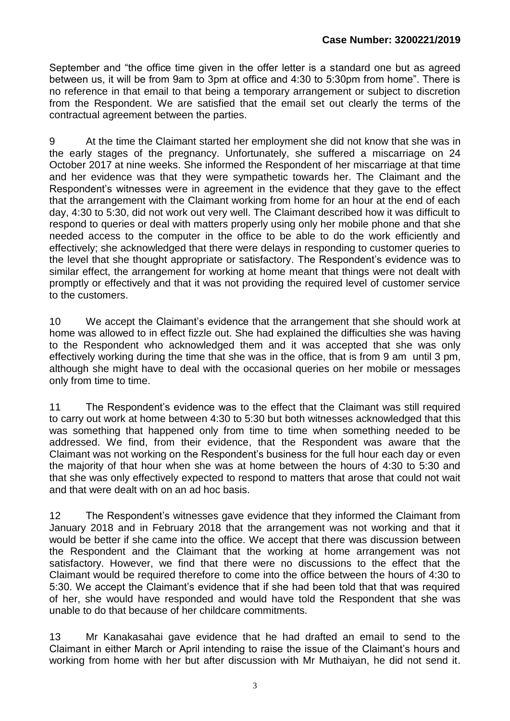September and "the office time given in the offer letter is a standard one but as agreed between us, it will be from 9am to 3pm at office and 4:30 to 5:30pm from home". There is no reference in that email to that being a temporary arrangement or subject to discretion from the Respondent. We are satisfied that the email set out clearly the terms of the contractual agreement between the parties.

9 At the time the Claimant started her employment she did not know that she was in the early stages of the pregnancy. Unfortunately, she suffered a miscarriage on 24 October 2017 at nine weeks. She informed the Respondent of her miscarriage at that time and her evidence was that they were sympathetic towards her. The Claimant and the Respondent's witnesses were in agreement in the evidence that they gave to the effect that the arrangement with the Claimant working from home for an hour at the end of each day, 4:30 to 5:30, did not work out very well. The Claimant described how it was difficult to respond to queries or deal with matters properly using only her mobile phone and that she needed access to the computer in the office to be able to do the work efficiently and effectively; she acknowledged that there were delays in responding to customer queries to the level that she thought appropriate or satisfactory. The Respondent's evidence was to similar effect, the arrangement for working at home meant that things were not dealt with promptly or effectively and that it was not providing the required level of customer service to the customers.

10 We accept the Claimant's evidence that the arrangement that she should work at home was allowed to in effect fizzle out. She had explained the difficulties she was having to the Respondent who acknowledged them and it was accepted that she was only effectively working during the time that she was in the office, that is from 9 am until 3 pm, although she might have to deal with the occasional queries on her mobile or messages only from time to time.

11 The Respondent's evidence was to the effect that the Claimant was still required to carry out work at home between 4:30 to 5:30 but both witnesses acknowledged that this was something that happened only from time to time when something needed to be addressed. We find, from their evidence, that the Respondent was aware that the Claimant was not working on the Respondent's business for the full hour each day or even the majority of that hour when she was at home between the hours of 4:30 to 5:30 and that she was only effectively expected to respond to matters that arose that could not wait and that were dealt with on an ad hoc basis.

12 The Respondent's witnesses gave evidence that they informed the Claimant from January 2018 and in February 2018 that the arrangement was not working and that it would be better if she came into the office. We accept that there was discussion between the Respondent and the Claimant that the working at home arrangement was not satisfactory. However, we find that there were no discussions to the effect that the Claimant would be required therefore to come into the office between the hours of 4:30 to 5:30. We accept the Claimant's evidence that if she had been told that that was required of her, she would have responded and would have told the Respondent that she was unable to do that because of her childcare commitments.

13 Mr Kanakasahai gave evidence that he had drafted an email to send to the Claimant in either March or April intending to raise the issue of the Claimant's hours and working from home with her but after discussion with Mr Muthaiyan, he did not send it.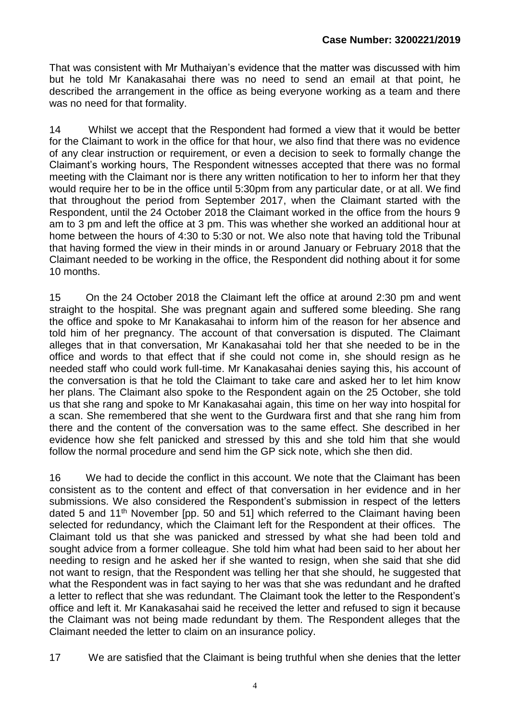That was consistent with Mr Muthaiyan's evidence that the matter was discussed with him but he told Mr Kanakasahai there was no need to send an email at that point, he described the arrangement in the office as being everyone working as a team and there was no need for that formality.

14 Whilst we accept that the Respondent had formed a view that it would be better for the Claimant to work in the office for that hour, we also find that there was no evidence of any clear instruction or requirement, or even a decision to seek to formally change the Claimant's working hours, The Respondent witnesses accepted that there was no formal meeting with the Claimant nor is there any written notification to her to inform her that they would require her to be in the office until 5:30pm from any particular date, or at all. We find that throughout the period from September 2017, when the Claimant started with the Respondent, until the 24 October 2018 the Claimant worked in the office from the hours 9 am to 3 pm and left the office at 3 pm. This was whether she worked an additional hour at home between the hours of 4:30 to 5:30 or not. We also note that having told the Tribunal that having formed the view in their minds in or around January or February 2018 that the Claimant needed to be working in the office, the Respondent did nothing about it for some 10 months.

15 On the 24 October 2018 the Claimant left the office at around 2:30 pm and went straight to the hospital. She was pregnant again and suffered some bleeding. She rang the office and spoke to Mr Kanakasahai to inform him of the reason for her absence and told him of her pregnancy. The account of that conversation is disputed. The Claimant alleges that in that conversation, Mr Kanakasahai told her that she needed to be in the office and words to that effect that if she could not come in, she should resign as he needed staff who could work full-time. Mr Kanakasahai denies saying this, his account of the conversation is that he told the Claimant to take care and asked her to let him know her plans. The Claimant also spoke to the Respondent again on the 25 October, she told us that she rang and spoke to Mr Kanakasahai again, this time on her way into hospital for a scan. She remembered that she went to the Gurdwara first and that she rang him from there and the content of the conversation was to the same effect. She described in her evidence how she felt panicked and stressed by this and she told him that she would follow the normal procedure and send him the GP sick note, which she then did.

16 We had to decide the conflict in this account. We note that the Claimant has been consistent as to the content and effect of that conversation in her evidence and in her submissions. We also considered the Respondent's submission in respect of the letters dated 5 and 11<sup>th</sup> November [pp. 50 and 51] which referred to the Claimant having been selected for redundancy, which the Claimant left for the Respondent at their offices. The Claimant told us that she was panicked and stressed by what she had been told and sought advice from a former colleague. She told him what had been said to her about her needing to resign and he asked her if she wanted to resign, when she said that she did not want to resign, that the Respondent was telling her that she should, he suggested that what the Respondent was in fact saying to her was that she was redundant and he drafted a letter to reflect that she was redundant. The Claimant took the letter to the Respondent's office and left it. Mr Kanakasahai said he received the letter and refused to sign it because the Claimant was not being made redundant by them. The Respondent alleges that the Claimant needed the letter to claim on an insurance policy.

17 We are satisfied that the Claimant is being truthful when she denies that the letter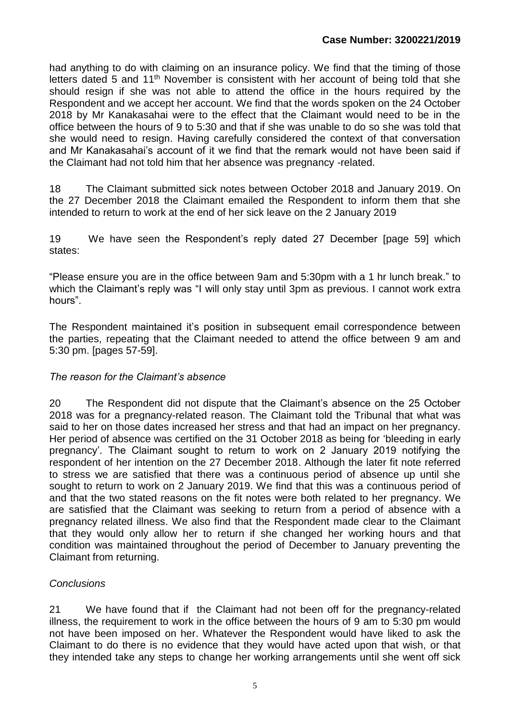had anything to do with claiming on an insurance policy. We find that the timing of those letters dated 5 and 11<sup>th</sup> November is consistent with her account of being told that she should resign if she was not able to attend the office in the hours required by the Respondent and we accept her account. We find that the words spoken on the 24 October 2018 by Mr Kanakasahai were to the effect that the Claimant would need to be in the office between the hours of 9 to 5:30 and that if she was unable to do so she was told that she would need to resign. Having carefully considered the context of that conversation and Mr Kanakasahai's account of it we find that the remark would not have been said if the Claimant had not told him that her absence was pregnancy -related.

18 The Claimant submitted sick notes between October 2018 and January 2019. On the 27 December 2018 the Claimant emailed the Respondent to inform them that she intended to return to work at the end of her sick leave on the 2 January 2019

19 We have seen the Respondent's reply dated 27 December [page 59] which states:

"Please ensure you are in the office between 9am and 5:30pm with a 1 hr lunch break." to which the Claimant's reply was "I will only stay until 3pm as previous. I cannot work extra hours".

The Respondent maintained it's position in subsequent email correspondence between the parties, repeating that the Claimant needed to attend the office between 9 am and 5:30 pm. [pages 57-59].

#### *The reason for the Claimant's absence*

20 The Respondent did not dispute that the Claimant's absence on the 25 October 2018 was for a pregnancy-related reason. The Claimant told the Tribunal that what was said to her on those dates increased her stress and that had an impact on her pregnancy. Her period of absence was certified on the 31 October 2018 as being for 'bleeding in early pregnancy'. The Claimant sought to return to work on 2 January 2019 notifying the respondent of her intention on the 27 December 2018. Although the later fit note referred to stress we are satisfied that there was a continuous period of absence up until she sought to return to work on 2 January 2019. We find that this was a continuous period of and that the two stated reasons on the fit notes were both related to her pregnancy. We are satisfied that the Claimant was seeking to return from a period of absence with a pregnancy related illness. We also find that the Respondent made clear to the Claimant that they would only allow her to return if she changed her working hours and that condition was maintained throughout the period of December to January preventing the Claimant from returning.

### *Conclusions*

21 We have found that if the Claimant had not been off for the pregnancy-related illness, the requirement to work in the office between the hours of 9 am to 5:30 pm would not have been imposed on her. Whatever the Respondent would have liked to ask the Claimant to do there is no evidence that they would have acted upon that wish, or that they intended take any steps to change her working arrangements until she went off sick